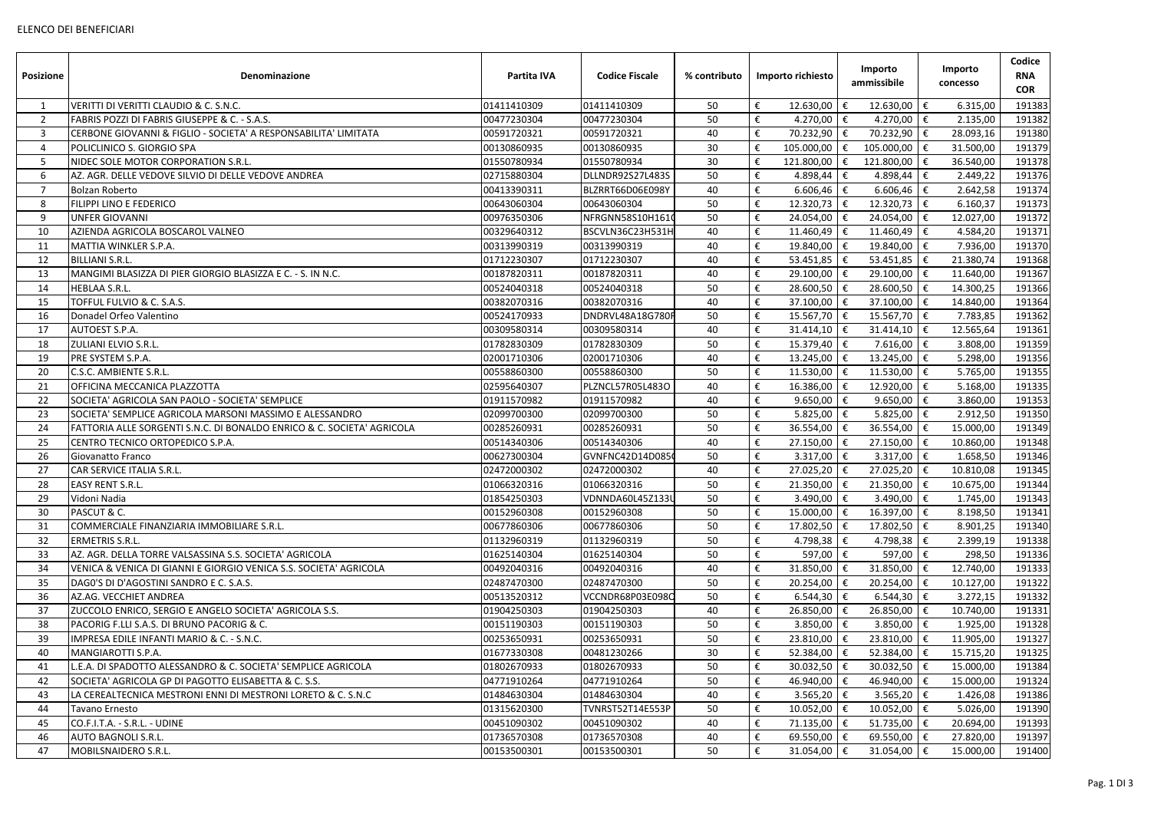| <b>Posizione</b> | Denominazione                                                          | Partita IVA | <b>Codice Fiscale</b> | % contributo | Importo richiesto                                       | Importo<br>ammissibile |     | Importo<br>concesso | Codice<br><b>RNA</b><br><b>COR</b> |
|------------------|------------------------------------------------------------------------|-------------|-----------------------|--------------|---------------------------------------------------------|------------------------|-----|---------------------|------------------------------------|
|                  | VERITTI DI VERITTI CLAUDIO & C. S.N.C.                                 | 01411410309 | 01411410309           | 50           | €<br>12.630,00   €                                      | 12.630,00              | €   | 6.315,00            | 191383                             |
| 2                | FABRIS POZZI DI FABRIS GIUSEPPE & C. - S.A.S.                          | 00477230304 | 00477230304           | 50           | €<br>4.270,00 $\in$                                     | 4.270,00 $\in$         |     | 2.135,00            | 191382                             |
| 3                | CERBONE GIOVANNI & FIGLIO - SOCIETA' A RESPONSABILITA' LIMITATA        | 00591720321 | 00591720321           | 40           | €<br>70.232,90   €                                      | 70.232,90              | €   | 28.093,16           | 191380                             |
| 4                | POLICLINICO S. GIORGIO SPA                                             | 00130860935 | 00130860935           | 30           | €<br>$105.000,00$ €                                     | 105.000,00             | €   | 31.500,00           | 191379                             |
| 5                | NIDEC SOLE MOTOR CORPORATION S.R.L.                                    | 01550780934 | 01550780934           | 30           | €<br>121.800,00 $ \epsilon$                             | 121.800,00             | €   | 36.540,00           | 191378                             |
| 6                | AZ. AGR. DELLE VEDOVE SILVIO DI DELLE VEDOVE ANDREA                    | 02715880304 | DLLNDR92S27L483S      | 50           | 4.898,44 €<br>€                                         | 4.898,44               | €   | 2.449,22            | 191376                             |
|                  | <b>Bolzan Roberto</b>                                                  | 00413390311 | BLZRRT66D06E098Y      | 40           | €<br>$6.606,46$ €                                       | $6.606,46$ €           |     | 2.642,58            | 191374                             |
| 8                | <b>FILIPPI LINO E FEDERICO</b>                                         | 00643060304 | 00643060304           | 50           | €<br>$12.320,73$   €                                    | 12.320,73              | €   | 6.160,37            | 191373                             |
| 9                | <b>UNFER GIOVANNI</b>                                                  | 00976350306 | NFRGNN58S10H1610      | 50           | €<br>$24.054,00$ €                                      | 24.054,00              | l € | 12.027,00           | 191372                             |
| 10               | AZIENDA AGRICOLA BOSCAROL VALNEO                                       | 00329640312 | BSCVLN36C23H531H      | 40           | $11.460,49$ €<br>€                                      | 11.460,49              | €   | 4.584,20            | 191371                             |
| 11               | MATTIA WINKLER S.P.A.                                                  | 00313990319 | 00313990319           | 40           | €<br>19.840,00 €                                        | 19.840,00              | €   | 7.936,00            | 191370                             |
| 12               | <b>BILLIANI S.R.L.</b>                                                 | 01712230307 | 01712230307           | 40           | €<br>53.451,85   €                                      | 53.451,85              | €   | 21.380,74           | 191368                             |
| 13               | MANGIMI BLASIZZA DI PIER GIORGIO BLASIZZA E C. - S. IN N.C.            | 00187820311 | 00187820311           | 40           | €<br>$29.100,00$ €                                      | 29.100,00              | €   | 11.640,00           | 191367                             |
| 14               | <b>HEBLAA S.R.L.</b>                                                   | 00524040318 | 00524040318           | 50           | €<br>$28.600,50$   €                                    | 28.600,50 €            |     | 14.300,25           | 191366                             |
| 15               | TOFFUL FULVIO & C. S.A.S.                                              | 00382070316 | 00382070316           | 40           | €<br>$37.100,00$   €                                    | 37.100,00              | €   | 14.840,00           | 191364                             |
| 16               | Donadel Orfeo Valentino                                                | 00524170933 | DNDRVL48A18G780I      | 50           | €<br>15.567,70   €                                      | 15.567,70 €            |     | 7.783,85            | 191362                             |
| 17               | <b>AUTOEST S.P.A.</b>                                                  | 00309580314 | 00309580314           | 40           | €<br>$31.414,10$ €                                      | 31.414,10              | €   | 12.565,64           | 191361                             |
| 18               | <b>ZULIANI ELVIO S.R.L.</b>                                            | 01782830309 | 01782830309           | 50           | €<br>$15.379,40$   €                                    | 7.616,00               | €   | 3.808,00            | 191359                             |
| 19               | <b>PRE SYSTEM S.P.A.</b>                                               | 02001710306 | 02001710306           | 40           | €<br>$13.245,00$   €                                    | 13.245,00              | I€  | 5.298,00            | 191356                             |
| 20               | C.S.C. AMBIENTE S.R.L.                                                 | 00558860300 | 00558860300           | 50           | €<br>$11.530,00$   €                                    | 11.530,00              | l € | 5.765,00            | 191355                             |
| 21               | OFFICINA MECCANICA PLAZZOTTA                                           | 02595640307 | PLZNCL57R05L483O      | 40           | €<br>16.386,00 €                                        | 12.920,00              | €   | 5.168,00            | 191335                             |
| 22               | SOCIETA' AGRICOLA SAN PAOLO - SOCIETA' SEMPLICE                        | 01911570982 | 01911570982           | 40           | €<br>$9.650,00$ €                                       | 9.650,00               | €   | 3.860,00            | 191353                             |
| 23               | SOCIETA' SEMPLICE AGRICOLA MARSONI MASSIMO E ALESSANDRO                | 02099700300 | 02099700300           | 50           | €<br>5.825,00 $\in$                                     | 5.825,00               | €   | 2.912,50            | 191350                             |
| 24               | FATTORIA ALLE SORGENTI S.N.C. DI BONALDO ENRICO & C. SOCIETA' AGRICOLA | 00285260931 | 00285260931           | 50           | €<br>36.554,00   €                                      | 36.554,00              |     | 15.000,00           | 191349                             |
| 25               | CENTRO TECNICO ORTOPEDICO S.P.A.                                       | 00514340306 | 00514340306           | 40           | €<br>$27.150,00$ €                                      | 27.150,00              | €   | 10.860,00           | 191348                             |
| 26               | Giovanatto Franco                                                      | 00627300304 | GVNFNC42D14D085       | 50           | €<br>$3.317,00$ $\in$                                   | $3.317,00$ €           |     | 1.658,50            | 191346                             |
| 27               | CAR SERVICE ITALIA S.R.L.                                              | 02472000302 | 02472000302           | 40           | €<br>$27.025,20$   €                                    | 27.025,20              | €   | 10.810,08           | 191345                             |
| 28               | <b>EASY RENT S.R.L.</b>                                                | 01066320316 | 01066320316           | 50           | $\boldsymbol{\epsilon}$<br>21.350,00 $\boxed{\epsilon}$ | $21.350,00$ €          |     | 10.675,00           | 191344                             |
| 29               | Vidoni Nadia                                                           | 01854250303 | VDNNDA60L45Z133U      | 50           | €<br>$3.490,00$ €                                       | 3.490,00               | €   | 1.745,00            | 191343                             |
| 30               | <b>PASCUT &amp; C.</b>                                                 | 00152960308 | 00152960308           | 50           | €<br>$15.000,00$ €                                      | 16.397,00              | ∣€  | 8.198,50            | 191341                             |
| 31               | COMMERCIALE FINANZIARIA IMMOBILIARE S.R.L.                             | 00677860306 | 00677860306           | 50           | €<br>17.802,50   €                                      | 17.802,50   €          |     | 8.901,25            | 191340                             |
| 32               | <b>ERMETRIS S.R.L.</b>                                                 | 01132960319 | 01132960319           | 50           | €<br>4.798,38 $\epsilon$                                | 4.798,38               | €   | 2.399,19            | 191338                             |
| 33               | AZ. AGR. DELLA TORRE VALSASSINA S.S. SOCIETA' AGRICOLA                 | 01625140304 | 01625140304           | 50           | €<br>597,00   €                                         | 597,00 $\epsilon$      |     | 298,50              | 191336                             |
| 34               | VENICA & VENICA DI GIANNI E GIORGIO VENICA S.S. SOCIETA' AGRICOLA      | 00492040316 | 00492040316           | 40           | 31.850,00   €                                           | 31.850,00              | €   | 12.740,00           | 191333                             |
| 35               | DAGO'S DI D'AGOSTINI SANDRO E C. S.A.S.                                | 02487470300 | 02487470300           | 50           | €<br>$20.254,00$ €                                      | 20.254,00              | Ι€  | 10.127,00           | 191322                             |
| 36               | AZ.AG. VECCHIET ANDREA                                                 | 00513520312 | VCCNDR68P03E098C      | 50           | $6.544,30$ €<br>€                                       | 6.544,30               | l € | 3.272,15            | 191332                             |
| 37               | ZUCCOLO ENRICO, SERGIO E ANGELO SOCIETA' AGRICOLA S.S.                 | 01904250303 | 01904250303           | 40           | €<br>$26.850,00$ €                                      | 26.850,00              | €   | 10.740,00           | 191331                             |
| 38               | <b>PACORIG F.LLI S.A.S. DI BRUNO PACORIG &amp; C.</b>                  | 00151190303 | 00151190303           | 50           | €<br>$3.850,00$   €                                     | $3.850,00$ €           |     | 1.925,00            | 191328                             |
| 39               | IMPRESA EDILE INFANTI MARIO & C. - S.N.C.                              | 00253650931 | 00253650931           | 50           | 23.810,00   €                                           | 23.810,00   €          |     | 11.905,00           | 191327                             |
| 40               | MANGIAROTTI S.P.A.                                                     | 01677330308 | 00481230266           | 30           | €<br>52.384,00 €                                        | 52.384,00 €            |     | 15.715,20           | 191325                             |
| 41               | L.E.A. DI SPADOTTO ALESSANDRO & C. SOCIETA' SEMPLICE AGRICOLA          | 01802670933 | 01802670933           | 50           | €<br>$30.032,50$   €                                    | 30.032,50              | €   | 15.000,00           | 191384                             |
| 42               | SOCIETA' AGRICOLA GP DI PAGOTTO ELISABETTA & C. S.S.                   | 04771910264 | 04771910264           | 50           | €<br>46.940,00 €                                        | 46.940,00              | €   | 15.000,00           | 191324                             |
| 43               | LA CEREALTECNICA MESTRONI ENNI DI MESTRONI LORETO & C. S.N.C           | 01484630304 | 01484630304           | 40           | $3.565,20$ €<br>€                                       | 3.565,20               | €   | 1.426,08            | 191386                             |
| 44               | <b>Tavano Ernesto</b>                                                  | 01315620300 | TVNRST52T14E553P      | 50           | €<br>$10.052,00$   €                                    | 10.052,00              | €   | 5.026,00            | 191390                             |
| 45               | CO.F.I.T.A. - S.R.L. - UDINE                                           | 00451090302 | 00451090302           | 40           | €<br>71.135,00   €                                      | 51.735,00 $\in$        |     | 20.694,00           | 191393                             |
| 46               | <b>AUTO BAGNOLI S.R.L.</b>                                             | 01736570308 | 01736570308           | 40           | €<br>69.550,00   €                                      | 69.550,00 $\in$        |     | 27.820,00           | 191397                             |
| 47               | MOBILSNAIDERO S.R.L.                                                   | 00153500301 | 00153500301           | 50           | €<br>$31.054,00$ €                                      | 31.054,00 $\in$        |     | 15.000,00           | 191400                             |
|                  |                                                                        |             |                       |              |                                                         |                        |     |                     |                                    |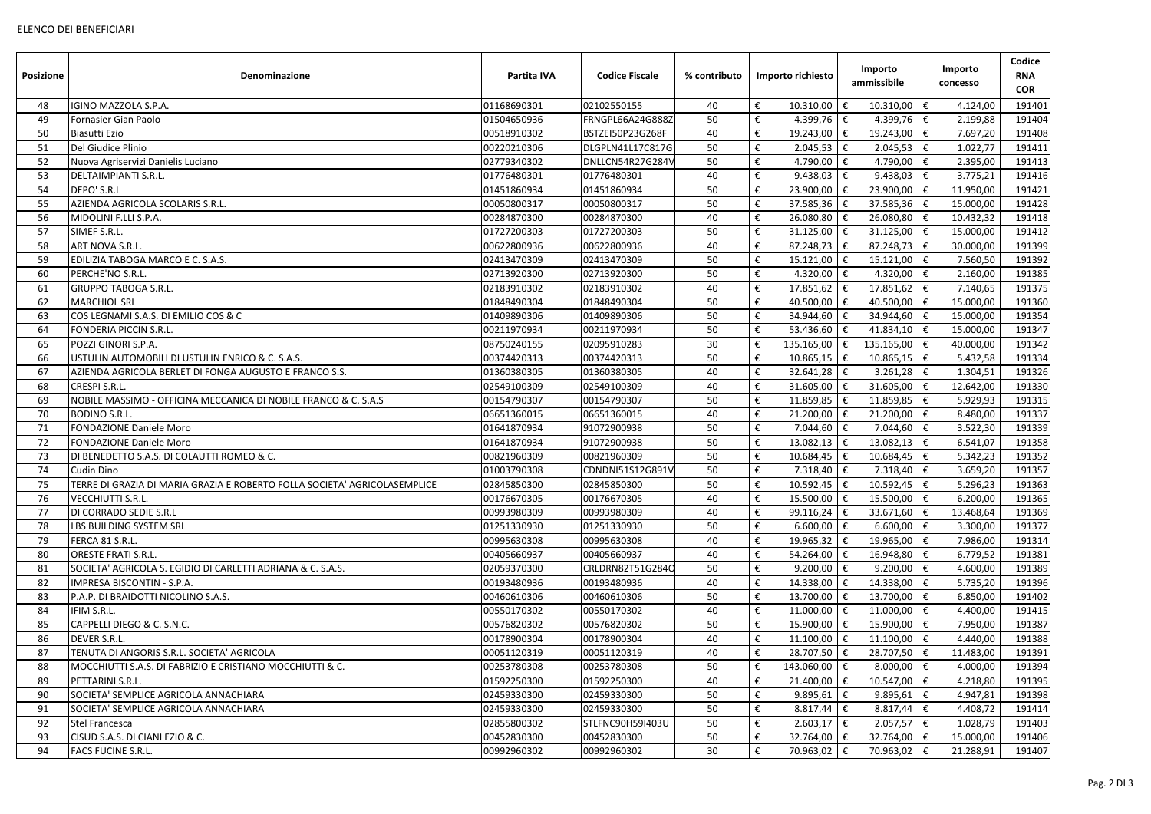| <b>Posizione</b> | <b>Denominazione</b>                                                      | Partita IVA                | <b>Codice Fiscale</b>      | % contributo | Importo richiesto                           | Importo<br>ammissibile      |     | Importo<br>concesso  | Codice<br><b>RNA</b><br><b>COR</b> |
|------------------|---------------------------------------------------------------------------|----------------------------|----------------------------|--------------|---------------------------------------------|-----------------------------|-----|----------------------|------------------------------------|
| 48               | IGINO MAZZOLA S.P.A.                                                      | 01168690301                | 02102550155                | 40           | €<br>$10.310,00$   €                        | 10.310,00                   | €   | 4.124,00             | 191401                             |
| 49               | Fornasier Gian Paolo                                                      | 01504650936                | FRNGPL66A24G888Z           | 50           | €<br>$4.399,76$ €                           | 4.399,76 $\epsilon$         |     | 2.199,88             | 191404                             |
| 50               | Biasutti Ezio                                                             | 00518910302                | BSTZEI50P23G268F           | 40           | €<br>19.243,00 €                            | 19.243,00                   | €   | 7.697,20             | 191408                             |
| 51               | Del Giudice Plinio                                                        | 00220210306                | DLGPLN41L17C817G           | 50           | €<br>$2.045,53$ $\in$                       | 2.045,53                    | €   | 1.022,77             | 191411                             |
| 52               | Nuova Agriservizi Danielis Luciano                                        | 02779340302                | DNLLCN54R27G284\           | 50           | €<br>4.790,00 €                             | 4.790,00                    | €   | 2.395,00             | 191413                             |
| 53               | <b>DELTAIMPIANTI S.R.L.</b>                                               | 01776480301                | 01776480301                | 40           | €<br>$9.438,03$ €                           | 9.438,03                    | I€  | 3.775,21             | 191416                             |
| 54               | DEPO' S.R.L                                                               | 01451860934                | 01451860934                | 50           | €<br>$23.900,00$   €                        | 23.900,00                   | €   | 11.950,00            | 191421                             |
| 55               | AZIENDA AGRICOLA SCOLARIS S.R.L.                                          | 00050800317                | 00050800317                | 50           | €<br>$37.585,36$ $\in$                      | 37.585,36                   | €   | 15.000,00            | 191428                             |
| 56               | MIDOLINI F.LLI S.P.A.                                                     | 00284870300                | 00284870300                | 40           | €<br>26.080,80 $\in$                        | 26.080,80                   | l € | 10.432,32            | 191418                             |
| 57               | SIMEF S.R.L.                                                              | 01727200303                | 01727200303                | 50           | 31.125,00<br>€                              | 31.125,00<br>€              | €   | 15.000,00            | 191412                             |
| 58               | ART NOVA S.R.L.                                                           | 00622800936                | 00622800936                | 40           | $87.248,73$ $\in$<br>€                      | 87.248,73                   | €   | 30.000,00            | 191399                             |
| 59               | EDILIZIA TABOGA MARCO E C. S.A.S.                                         | 02413470309                | 02413470309                | 50           | €<br>15.121,00                              | 15.121,00<br>€              | €   | 7.560,50             | 191392                             |
| 60               | PERCHE'NO S.R.L.                                                          | 02713920300                | 02713920300                | 50           | €<br>4.320,00 $\in$                         | 4.320,00                    | €   | 2.160,00             | 191385                             |
| 61               | <b>GRUPPO TABOGA S.R.L.</b>                                               | 02183910302                | 02183910302                | 40           | €<br>$17.851,62$   €                        | 17.851,62                   | l € | 7.140,65             | 191375                             |
| 62               | <b>MARCHIOL SRL</b>                                                       | 01848490304                | 01848490304                | 50           | €<br>40.500,00 €                            | 40.500,00                   | €   | 15.000,00            | 191360                             |
| 63               | COS LEGNAMI S.A.S. DI EMILIO COS & C                                      | 01409890306                | 01409890306                | 50           | €<br>34.944,60 €                            | 34.944,60                   | €   | 15.000,00            | 191354                             |
| 64               | <b>FONDERIA PICCIN S.R.L.</b>                                             | 00211970934                | 00211970934                | 50           | 53.436,60 €<br>€                            | 41.834,10                   |     | 15.000,00            | 191347                             |
| 65               | POZZI GINORI S.P.A.                                                       | 08750240155                | 02095910283                | 30           | €<br>135.165,00   €                         | 135.165,00                  | €   | 40.000,00            | 191342                             |
| 66               | USTULIN AUTOMOBILI DI USTULIN ENRICO & C. S.A.S.                          | 00374420313                | 00374420313                | 50           | €<br>$10.865,15$ €                          | $10.865,15$ €               |     | 5.432,58             | 191334                             |
| 67               | AZIENDA AGRICOLA BERLET DI FONGA AUGUSTO E FRANCO S.S.                    | 01360380305                | 01360380305                | 40           | €<br>$32.641,28$ €                          | 3.261,28                    | €   | 1.304,51             | 191326                             |
| 68               | CRESPI S.R.L.                                                             | 02549100309                | 02549100309                | 40           | €<br>$31.605,00$ €                          | 31.605,00                   | €   | 12.642,00            | 191330                             |
| 69               | NOBILE MASSIMO - OFFICINA MECCANICA DI NOBILE FRANCO & C. S.A.S           | 00154790307                | 00154790307                | 50           | €<br>11.859,85   €                          | 11.859,85                   | €   | 5.929,93             | 191315                             |
| 70               | <b>BODINO S.R.L.</b>                                                      | 06651360015                | 06651360015                | 40           | 21.200,00 $\in$<br>€                        | 21.200,00                   | €   | 8.480,00             | 191337                             |
| 71               | <b>FONDAZIONE Daniele Moro</b>                                            | 01641870934                | 91072900938                | 50           | 7.044,60 €<br>€                             | 7.044,60                    | €   | 3.522,30             | 191339                             |
| 72               | <b>FONDAZIONE Daniele Moro</b>                                            | 01641870934                | 91072900938                | 50           | €<br>$13.082,13$ €                          | 13.082,13                   | €   | 6.541,07             | 191358                             |
| 73               | DI BENEDETTO S.A.S. DI COLAUTTI ROMEO & C.                                | 00821960309                | 00821960309                | 50           | €<br>$10.684,45$ €                          | $10.684,45$ €               |     | 5.342,23             | 191352                             |
| 74               | <b>Cudin Dino</b>                                                         | 01003790308                | CDNDNI51S12G891V           | 50           | €<br>7.318,40 $\in$                         | 7.318,40                    | €   | 3.659,20             | 191357                             |
| 75               | TERRE DI GRAZIA DI MARIA GRAZIA E ROBERTO FOLLA SOCIETA' AGRICOLASEMPLICE | 02845850300                | 02845850300                | 50           | $\boldsymbol{\epsilon}$<br>10.592,45        | 10.592,45 $\sqrt{\epsilon}$ |     | 5.296,23             | 191363                             |
| 76               | <b>VECCHIUTTI S.R.L.</b>                                                  | 00176670305                | 00176670305                | 40           | €<br>$15.500,00$   €                        | 15.500,00                   | €   | 6.200,00             | 191365                             |
| 77               | DI CORRADO SEDIE S.R.L                                                    | 00993980309                | 00993980309                | 40           | €<br>99.116,24   €                          | 33.671,60                   | €   | 13.468,64            | 191369                             |
| 78               | <b>LBS BUILDING SYSTEM SRL</b>                                            | 01251330930                | 01251330930                | 50           | €<br>$6.600,00$   €                         | $6.600,00$ €                |     | 3.300,00             | 191377                             |
| 79               | FERCA 81 S.R.L.                                                           | 00995630308                | 00995630308                | 40           | €<br>$19.965,32$   €                        | 19.965,00                   | I€  | 7.986,00             | 191314                             |
| 80               | <b>ORESTE FRATI S.R.L.</b>                                                | 00405660937                | 00405660937                | 40           | €<br>54.264,00   €                          | 16.948,80 €                 |     | 6.779,52             | 191381                             |
| 81               | SOCIETA' AGRICOLA S. EGIDIO DI CARLETTI ADRIANA & C. S.A.S.               | 02059370300                | CRLDRN82T51G284C           | 50           | €<br>9.200,00 $\in$                         | $9.200,00$ €                |     | 4.600,00             | 191389                             |
| 82               | IMPRESA BISCONTIN - S.P.A.                                                | 00193480936                | 00193480936                | 40           | €<br>14.338,00 $\in$                        | 14.338,00                   | Ι€  | 5.735,20             | 191396                             |
| 83               | P.A.P. DI BRAIDOTTI NICOLINO S.A.S.                                       | 00460610306                | 00460610306                | 50           | €<br>13.700,00 €                            | 13.700,00                   | l € | 6.850,00             | 191402                             |
| 84               | IFIM S.R.L.                                                               | 00550170302                | 00550170302                | 40           | $11.000,00$   €<br>€                        | 11.000,00                   | €   | 4.400,00             | 191415                             |
| 85               | CAPPELLI DIEGO & C. S.N.C.                                                | 00576820302                | 00576820302                | 50           | €<br>$15.900,00$   €                        | 15.900,00 €                 |     | 7.950,00             | 191387                             |
| 86               | <b>DEVER S.R.L.</b>                                                       | 00178900304                | 00178900304                | 40           | €<br>$11.100,00$   €                        | $11.100,00$ €               |     | 4.440,00             | 191388                             |
| 87               | TENUTA DI ANGORIS S.R.L. SOCIETA' AGRICOLA                                | 00051120319                | 00051120319                | 40           | €<br>$28.707,50$ €                          | 28.707,50 €                 |     | 11.483,00            | 191391                             |
| 88               | MOCCHIUTTI S.A.S. DI FABRIZIO E CRISTIANO MOCCHIUTTI & C.                 | 00253780308                | 00253780308                | 50           | €                                           | 8.000,00                    | l € | 4.000,00             | 191394                             |
|                  | PETTARINI S.R.L.                                                          |                            |                            |              | $143.060,00$   €                            |                             |     |                      |                                    |
| 89<br>90         | SOCIETA' SEMPLICE AGRICOLA ANNACHIARA                                     | 01592250300<br>02459330300 | 01592250300<br>02459330300 | 40<br>50     | €<br>21.400,00 $\in$<br>€<br>9.895,61 $\in$ | 10.547,00                   | €   | 4.218,80<br>4.947,81 | 191395<br>191398                   |
|                  |                                                                           |                            |                            |              |                                             | 9.895,61                    | €   |                      |                                    |
| 91               | SOCIETA' SEMPLICE AGRICOLA ANNACHIARA                                     | 02459330300                | 02459330300                | 50           | €<br>$8.817,44$   €                         | 8.817,44                    | €   | 4.408,72             | 191414                             |
| 92               | <b>Stel Francesca</b>                                                     | 02855800302                | STLFNC90H59I403U           | 50           | €<br>$2.603,17$   €                         | $2.057,57$ €                |     | 1.028,79             | 191403                             |
| 93               | CISUD S.A.S. DI CIANI EZIO & C.                                           | 00452830300                | 00452830300                | 50           | €<br>$32.764,00$   €                        | 32.764,00 €                 |     | 15.000,00            | 191406                             |
| 94               | <b>FACS FUCINE S.R.L.</b>                                                 | 00992960302                | 00992960302                | 30           | €<br>70.963,02   €                          | 70.963,02 €                 |     | 21.288,91            | 191407                             |